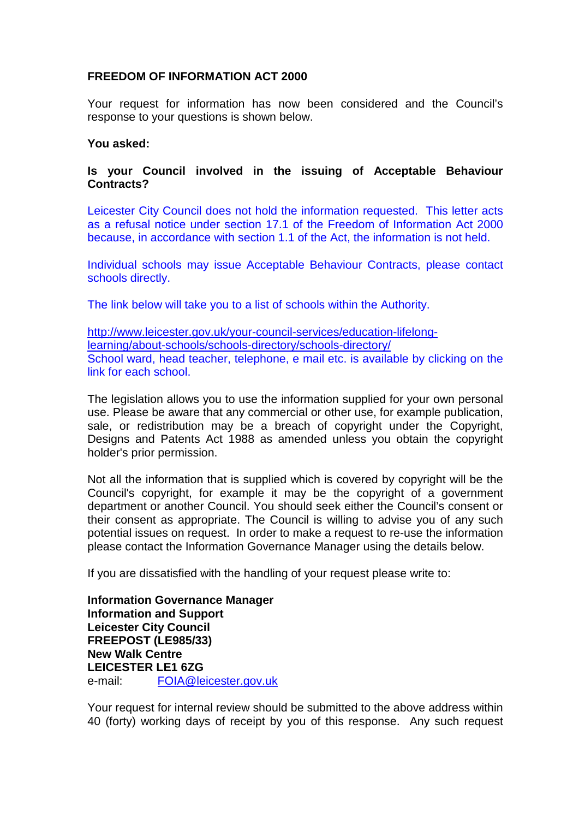## **FREEDOM OF INFORMATION ACT 2000**

Your request for information has now been considered and the Council's response to your questions is shown below.

## **You asked:**

## **Is your Council involved in the issuing of Acceptable Behaviour Contracts?**

Leicester City Council does not hold the information requested. This letter acts as a refusal notice under section 17.1 of the Freedom of Information Act 2000 because, in accordance with section 1.1 of the Act, the information is not held.

Individual schools may issue Acceptable Behaviour Contracts, please contact schools directly.

The link below will take you to a list of schools within the Authority.

[http://www.leicester.gov.uk/your-council-services/education-lifelong](http://www.leicester.gov.uk/your-council-services/education-lifelong-learning/about-schools/schools-directory/schools-directory/)[learning/about-schools/schools-directory/schools-directory/](http://www.leicester.gov.uk/your-council-services/education-lifelong-learning/about-schools/schools-directory/schools-directory/) School ward, head teacher, telephone, e mail etc. is available by clicking on the link for each school.

The legislation allows you to use the information supplied for your own personal use. Please be aware that any commercial or other use, for example publication, sale, or redistribution may be a breach of copyright under the Copyright, Designs and Patents Act 1988 as amended unless you obtain the copyright holder's prior permission.

Not all the information that is supplied which is covered by copyright will be the Council's copyright, for example it may be the copyright of a government department or another Council. You should seek either the Council's consent or their consent as appropriate. The Council is willing to advise you of any such potential issues on request. In order to make a request to re-use the information please contact the Information Governance Manager using the details below.

If you are dissatisfied with the handling of your request please write to:

**Information Governance Manager Information and Support Leicester City Council FREEPOST (LE985/33) New Walk Centre LEICESTER LE1 6ZG**  e-mail: FOIA@leicester.gov.uk

Your request for internal review should be submitted to the above address within 40 (forty) working days of receipt by you of this response. Any such request